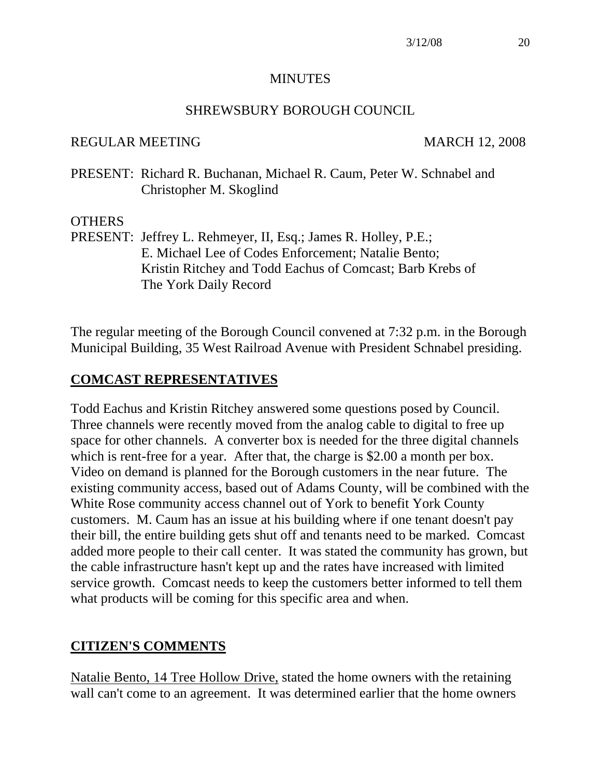#### **MINUTES**

#### SHREWSBURY BOROUGH COUNCIL

#### REGULAR MEETING MARCH 12, 2008

PRESENT: Richard R. Buchanan, Michael R. Caum, Peter W. Schnabel and Christopher M. Skoglind

#### **OTHERS**

PRESENT: Jeffrey L. Rehmeyer, II, Esq.; James R. Holley, P.E.; E. Michael Lee of Codes Enforcement; Natalie Bento; Kristin Ritchey and Todd Eachus of Comcast; Barb Krebs of The York Daily Record

The regular meeting of the Borough Council convened at 7:32 p.m. in the Borough Municipal Building, 35 West Railroad Avenue with President Schnabel presiding.

# **COMCAST REPRESENTATIVES**

Todd Eachus and Kristin Ritchey answered some questions posed by Council. Three channels were recently moved from the analog cable to digital to free up space for other channels. A converter box is needed for the three digital channels which is rent-free for a year. After that, the charge is \$2.00 a month per box. Video on demand is planned for the Borough customers in the near future. The existing community access, based out of Adams County, will be combined with the White Rose community access channel out of York to benefit York County customers. M. Caum has an issue at his building where if one tenant doesn't pay their bill, the entire building gets shut off and tenants need to be marked. Comcast added more people to their call center. It was stated the community has grown, but the cable infrastructure hasn't kept up and the rates have increased with limited service growth. Comcast needs to keep the customers better informed to tell them what products will be coming for this specific area and when.

# **CITIZEN'S COMMENTS**

Natalie Bento, 14 Tree Hollow Drive, stated the home owners with the retaining wall can't come to an agreement. It was determined earlier that the home owners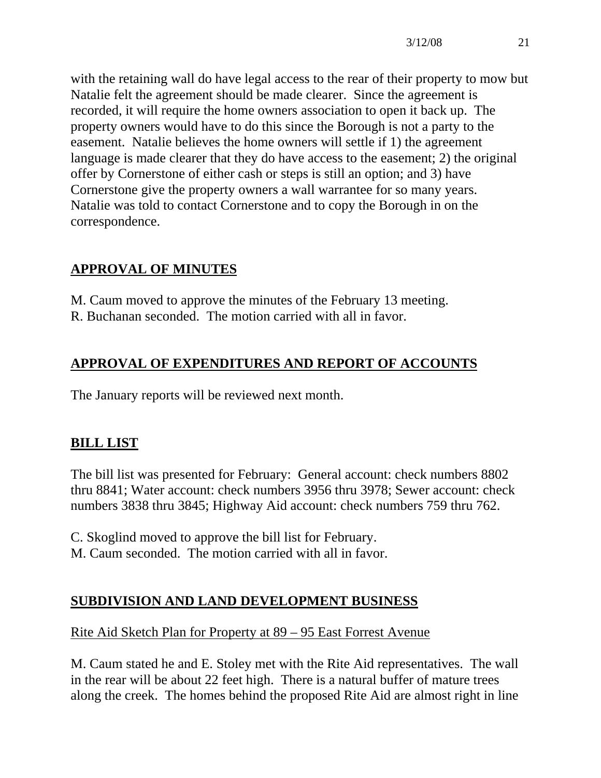with the retaining wall do have legal access to the rear of their property to mow but Natalie felt the agreement should be made clearer. Since the agreement is recorded, it will require the home owners association to open it back up. The property owners would have to do this since the Borough is not a party to the easement. Natalie believes the home owners will settle if 1) the agreement language is made clearer that they do have access to the easement; 2) the original offer by Cornerstone of either cash or steps is still an option; and 3) have Cornerstone give the property owners a wall warrantee for so many years. Natalie was told to contact Cornerstone and to copy the Borough in on the correspondence.

# **APPROVAL OF MINUTES**

M. Caum moved to approve the minutes of the February 13 meeting. R. Buchanan seconded. The motion carried with all in favor.

# **APPROVAL OF EXPENDITURES AND REPORT OF ACCOUNTS**

The January reports will be reviewed next month.

# **BILL LIST**

The bill list was presented for February: General account: check numbers 8802 thru 8841; Water account: check numbers 3956 thru 3978; Sewer account: check numbers 3838 thru 3845; Highway Aid account: check numbers 759 thru 762.

C. Skoglind moved to approve the bill list for February. M. Caum seconded. The motion carried with all in favor.

#### **SUBDIVISION AND LAND DEVELOPMENT BUSINESS**

#### Rite Aid Sketch Plan for Property at 89 – 95 East Forrest Avenue

M. Caum stated he and E. Stoley met with the Rite Aid representatives. The wall in the rear will be about 22 feet high. There is a natural buffer of mature trees along the creek. The homes behind the proposed Rite Aid are almost right in line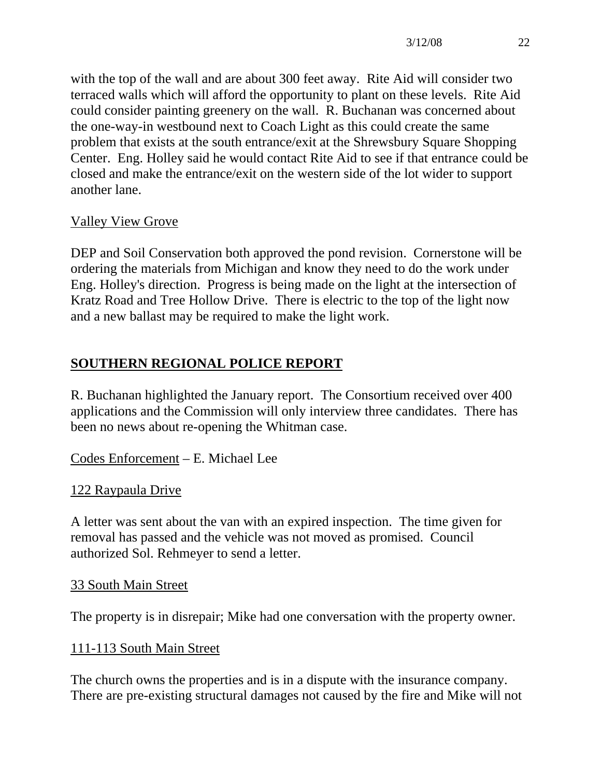with the top of the wall and are about 300 feet away. Rite Aid will consider two terraced walls which will afford the opportunity to plant on these levels. Rite Aid could consider painting greenery on the wall. R. Buchanan was concerned about the one-way-in westbound next to Coach Light as this could create the same problem that exists at the south entrance/exit at the Shrewsbury Square Shopping Center. Eng. Holley said he would contact Rite Aid to see if that entrance could be closed and make the entrance/exit on the western side of the lot wider to support another lane.

# Valley View Grove

DEP and Soil Conservation both approved the pond revision. Cornerstone will be ordering the materials from Michigan and know they need to do the work under Eng. Holley's direction. Progress is being made on the light at the intersection of Kratz Road and Tree Hollow Drive. There is electric to the top of the light now and a new ballast may be required to make the light work.

# **SOUTHERN REGIONAL POLICE REPORT**

R. Buchanan highlighted the January report. The Consortium received over 400 applications and the Commission will only interview three candidates. There has been no news about re-opening the Whitman case.

Codes Enforcement – E. Michael Lee

# 122 Raypaula Drive

A letter was sent about the van with an expired inspection. The time given for removal has passed and the vehicle was not moved as promised. Council authorized Sol. Rehmeyer to send a letter.

# 33 South Main Street

The property is in disrepair; Mike had one conversation with the property owner.

# 111-113 South Main Street

The church owns the properties and is in a dispute with the insurance company. There are pre-existing structural damages not caused by the fire and Mike will not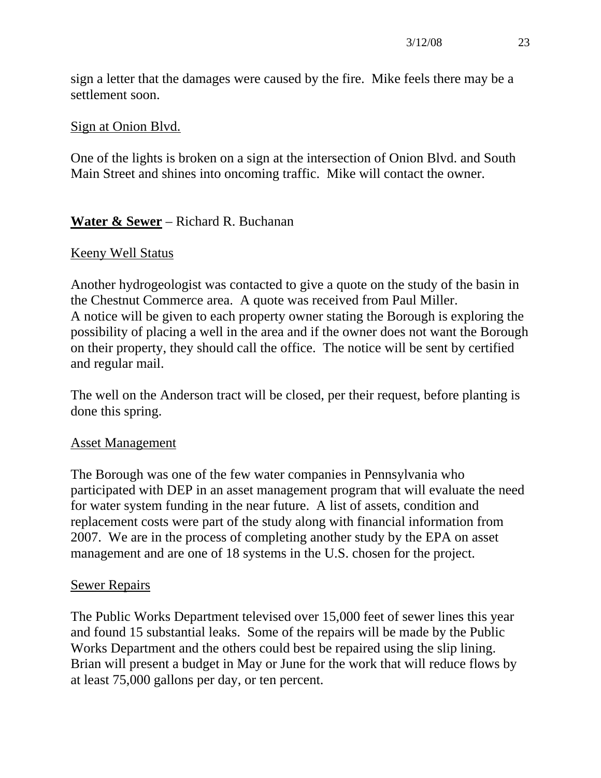sign a letter that the damages were caused by the fire. Mike feels there may be a settlement soon.

#### Sign at Onion Blvd.

One of the lights is broken on a sign at the intersection of Onion Blvd. and South Main Street and shines into oncoming traffic. Mike will contact the owner.

#### **Water & Sewer** – Richard R. Buchanan

#### Keeny Well Status

Another hydrogeologist was contacted to give a quote on the study of the basin in the Chestnut Commerce area. A quote was received from Paul Miller. A notice will be given to each property owner stating the Borough is exploring the possibility of placing a well in the area and if the owner does not want the Borough on their property, they should call the office. The notice will be sent by certified and regular mail.

The well on the Anderson tract will be closed, per their request, before planting is done this spring.

#### Asset Management

The Borough was one of the few water companies in Pennsylvania who participated with DEP in an asset management program that will evaluate the need for water system funding in the near future. A list of assets, condition and replacement costs were part of the study along with financial information from 2007. We are in the process of completing another study by the EPA on asset management and are one of 18 systems in the U.S. chosen for the project.

#### Sewer Repairs

The Public Works Department televised over 15,000 feet of sewer lines this year and found 15 substantial leaks. Some of the repairs will be made by the Public Works Department and the others could best be repaired using the slip lining. Brian will present a budget in May or June for the work that will reduce flows by at least 75,000 gallons per day, or ten percent.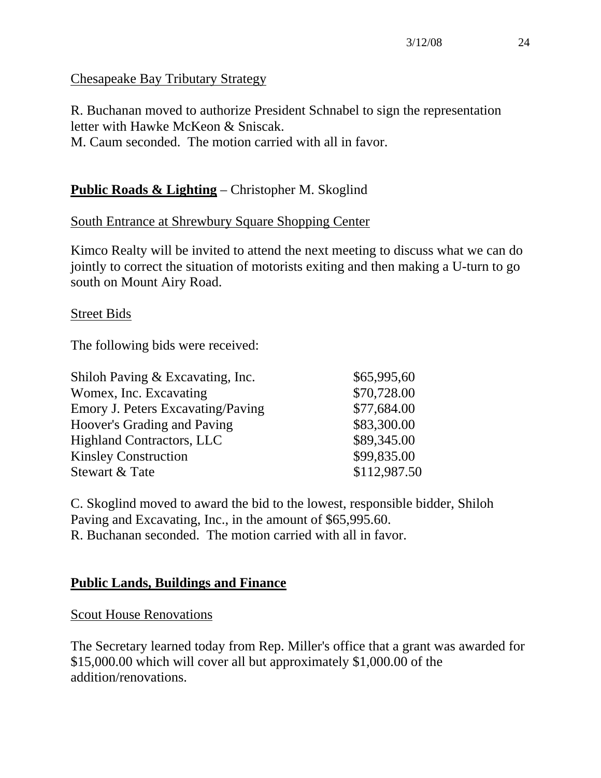#### Chesapeake Bay Tributary Strategy

R. Buchanan moved to authorize President Schnabel to sign the representation letter with Hawke McKeon & Sniscak. M. Caum seconded. The motion carried with all in favor.

# **Public Roads & Lighting** – Christopher M. Skoglind

# South Entrance at Shrewbury Square Shopping Center

Kimco Realty will be invited to attend the next meeting to discuss what we can do jointly to correct the situation of motorists exiting and then making a U-turn to go south on Mount Airy Road.

#### Street Bids

The following bids were received:

| \$65,995,60<br>Shiloh Paving & Excavating, Inc.         |  |
|---------------------------------------------------------|--|
| \$70,728.00<br>Womex, Inc. Excavating                   |  |
| \$77,684.00<br><b>Emory J. Peters Excavating/Paving</b> |  |
| \$83,300.00<br>Hoover's Grading and Paving              |  |
| \$89,345.00<br><b>Highland Contractors, LLC</b>         |  |
| \$99,835.00<br><b>Kinsley Construction</b>              |  |
| \$112,987.50<br>Stewart & Tate                          |  |

C. Skoglind moved to award the bid to the lowest, responsible bidder, Shiloh Paving and Excavating, Inc., in the amount of \$65,995.60. R. Buchanan seconded. The motion carried with all in favor.

#### **Public Lands, Buildings and Finance**

Scout House Renovations

The Secretary learned today from Rep. Miller's office that a grant was awarded for \$15,000.00 which will cover all but approximately \$1,000.00 of the addition/renovations.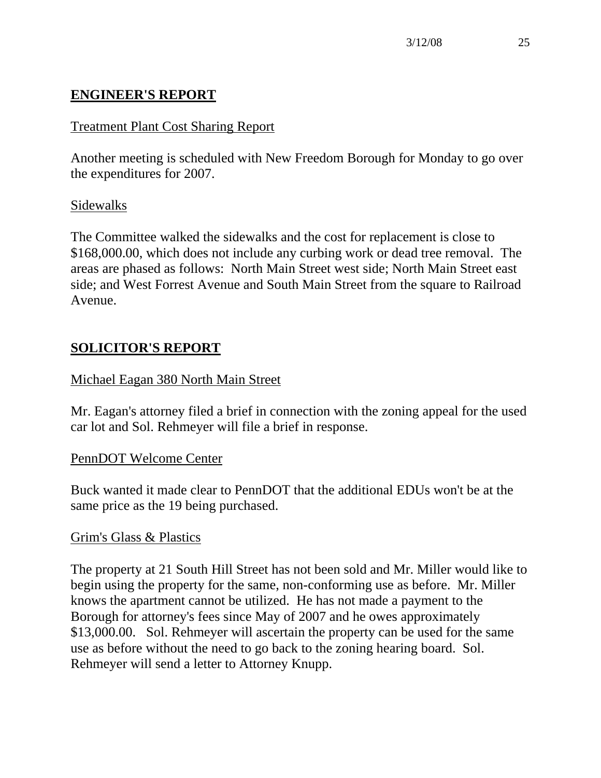# **ENGINEER'S REPORT**

# Treatment Plant Cost Sharing Report

Another meeting is scheduled with New Freedom Borough for Monday to go over the expenditures for 2007.

#### Sidewalks

The Committee walked the sidewalks and the cost for replacement is close to \$168,000.00, which does not include any curbing work or dead tree removal. The areas are phased as follows: North Main Street west side; North Main Street east side; and West Forrest Avenue and South Main Street from the square to Railroad Avenue.

# **SOLICITOR'S REPORT**

#### Michael Eagan 380 North Main Street

Mr. Eagan's attorney filed a brief in connection with the zoning appeal for the used car lot and Sol. Rehmeyer will file a brief in response.

#### PennDOT Welcome Center

Buck wanted it made clear to PennDOT that the additional EDUs won't be at the same price as the 19 being purchased.

#### Grim's Glass & Plastics

The property at 21 South Hill Street has not been sold and Mr. Miller would like to begin using the property for the same, non-conforming use as before. Mr. Miller knows the apartment cannot be utilized. He has not made a payment to the Borough for attorney's fees since May of 2007 and he owes approximately \$13,000.00. Sol. Rehmeyer will ascertain the property can be used for the same use as before without the need to go back to the zoning hearing board. Sol. Rehmeyer will send a letter to Attorney Knupp.